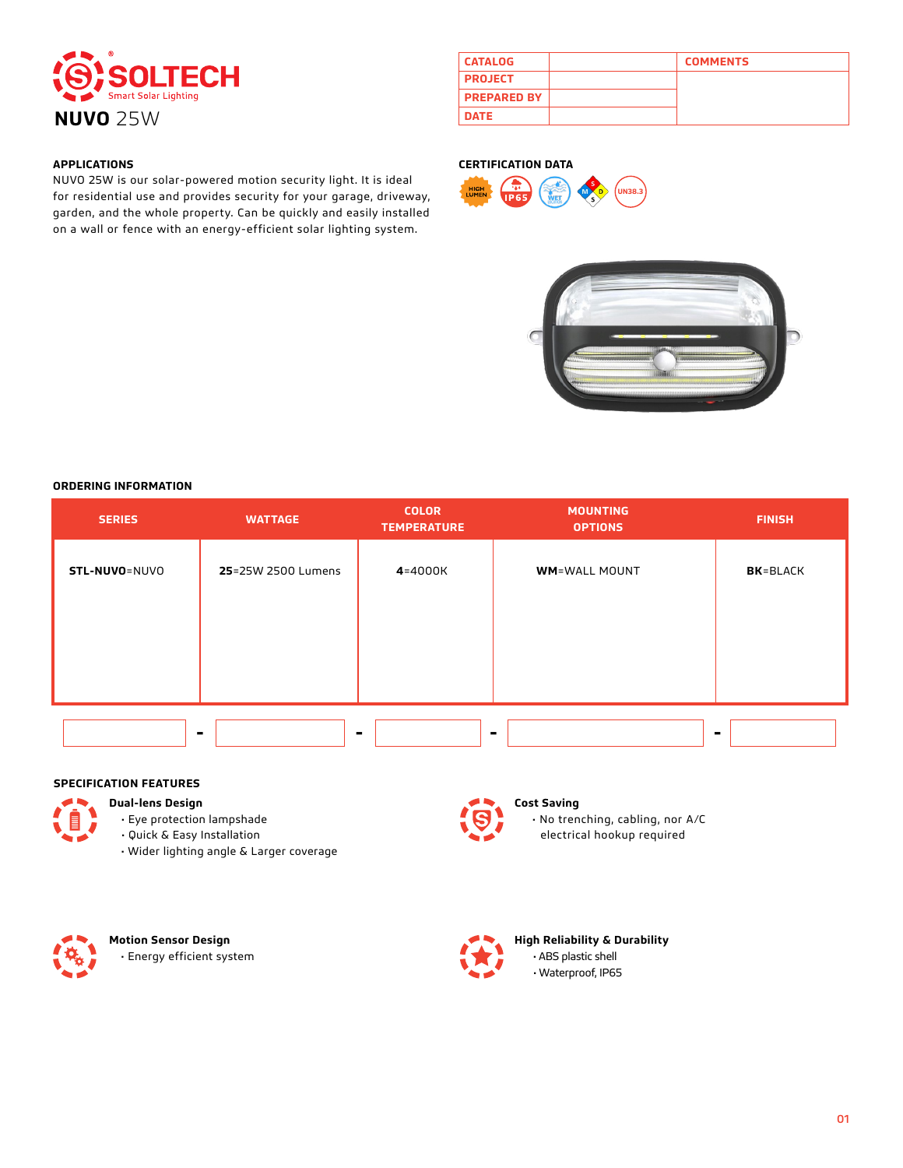

| <b>CATALOG</b>     | <b>COMMENTS</b> |
|--------------------|-----------------|
| <b>PROJECT</b>     |                 |
| <b>PREPARED BY</b> |                 |
| <b>DATE</b>        |                 |

# **APPLICATIONS**

NUVO 25W is our solar-powered motion security light. It is ideal for residential use and provides security for your garage, driveway, garden, and the whole property. Can be quickly and easily installed on a wall or fence with an energy-efficient solar lighting system.

## **CERTIFICATION DATA**





### **ORDERING INFORMATION**

| <b>SERIES</b> | <b>WATTAGE</b>     | <b>COLOR</b><br><b>TEMPERATURE</b> | <b>MOUNTING</b><br><b>OPTIONS</b> | <b>FINISH</b>    |
|---------------|--------------------|------------------------------------|-----------------------------------|------------------|
| STL-NUVO=NUVO | 25=25W 2500 Lumens | 4=4000K                            | <b>WM=WALL MOUNT</b>              | <b>BK</b> =BLACK |
|               |                    |                                    |                                   |                  |
|               |                    |                                    |                                   |                  |
|               |                    |                                    |                                   |                  |
|               |                    |                                    |                                   |                  |
|               |                    |                                    |                                   | $\blacksquare$   |

## **SPECIFICATION FEATURES**

**Dual-lens Design**

- Eye protection lampshade • Quick & Easy Installation
- Wider lighting angle & Larger coverage



# **Cost Saving**

 • No trenching, cabling, nor A/C electrical hookup required



**Motion Sensor Design** • Energy efficient system



**High Reliability & Durability** • ABS plastic shell • Waterproof, IP65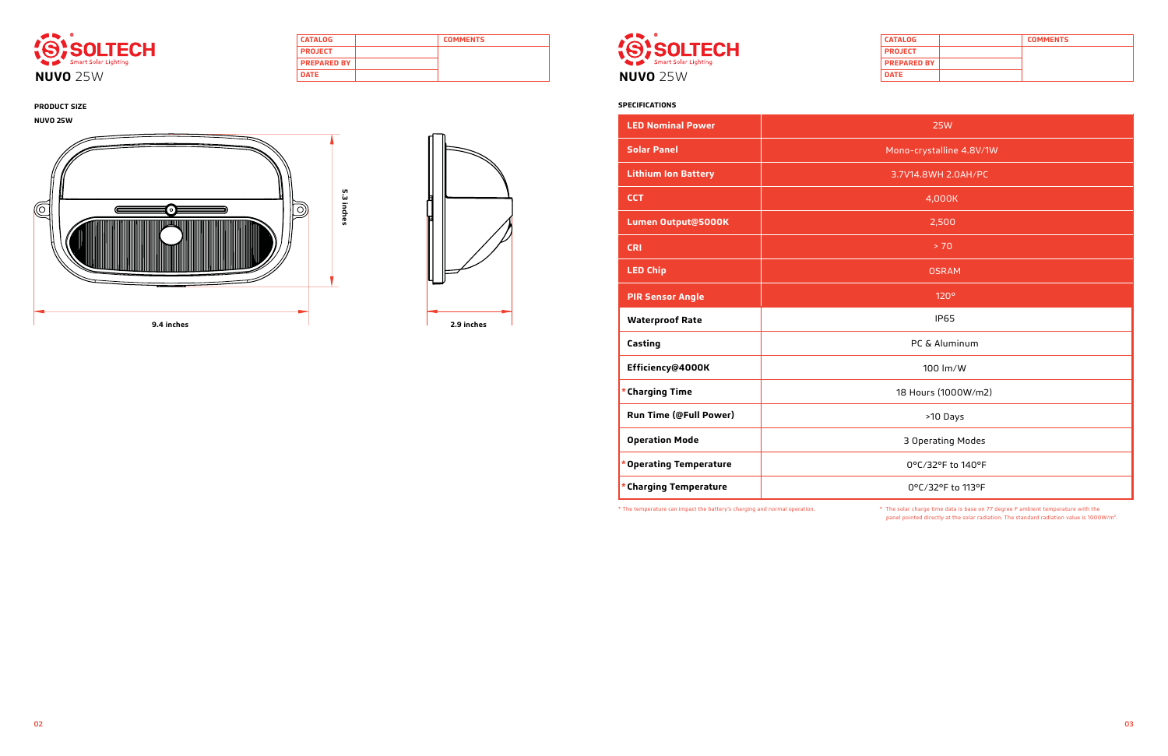| <b>CATALOG</b>     | <b>COMMENTS</b> |
|--------------------|-----------------|
| <b>PROJECT</b>     |                 |
| <b>PREPARED BY</b> |                 |
| <b>DATE</b>        |                 |



| <b>CATALOG</b>     | <b>COMMENTS</b> |
|--------------------|-----------------|
| <b>PROJECT</b>     |                 |
| <b>PREPARED BY</b> |                 |
| <b>DATE</b>        |                 |



### **PRODUCT SIZE SPECIFICATIONS**

| <b>25W</b>               |
|--------------------------|
| Mono-crystalline 4.8V/1W |
| 3.7V14.8WH 2.0AH/PC      |
| 4,000K                   |
| 2,500                    |
| > 70                     |
| <b>OSRAM</b>             |
| 120°                     |
| <b>IP65</b>              |
| PC & Aluminum            |
| 100 lm/W                 |
| 18 Hours (1000W/m2)      |
| >10 Days                 |
| 3 Operating Modes        |
| 0°C/32°F to 140°F        |
| 0°C/32°F to 113°F        |

| <b>LED Nominal Power</b>      |  |
|-------------------------------|--|
| <b>Solar Panel</b>            |  |
| <b>Lithium Ion Battery</b>    |  |
| <b>CCT</b>                    |  |
| Lumen Output@5000K            |  |
| <b>CRI</b>                    |  |
| <b>LED Chip</b>               |  |
| <b>PIR Sensor Angle</b>       |  |
|                               |  |
| <b>Waterproof Rate</b>        |  |
| Casting                       |  |
| Efficiency@4000K              |  |
| * Charging Time               |  |
| <b>Run Time (@Full Power)</b> |  |
| <b>Operation Mode</b>         |  |
| * Operating Temperature       |  |

\* The temperature can impact the battery's charging and normal operation. \* The solar charge time data is base on 77 degree F ambient temperature with the panel pointed directly at the solar radiation. The standard radiation value is 1000W/m2.

**NUVO 25W**



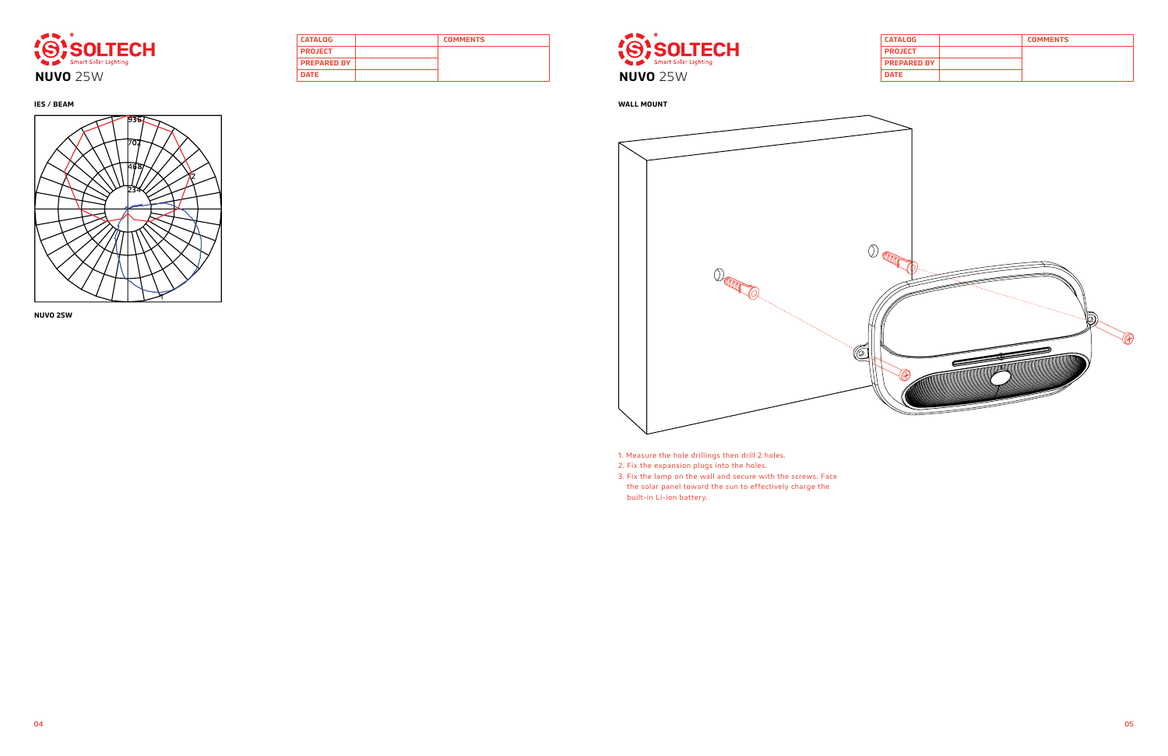| <b>CATALOG</b>     | <b>COMMENTS</b> |
|--------------------|-----------------|
| <b>PROJECT</b>     |                 |
| <b>PREPARED BY</b> |                 |
| <b>DATE</b>        |                 |



| <b>CATALOG</b>     | <b>COMMENTS</b> |
|--------------------|-----------------|
| <b>PROJECT</b>     |                 |
| <b>PREPARED BY</b> |                 |
| <b>DATE</b>        |                 |







**NUVO 25W**

1. Measure the hole drillings then drill 2 holes.

2. Fix the expansion plugs into the holes.

3. Fix the lamp on the wall and secure with the screws. Face the solar panel toward the sun to effectively charge the built-in Li-ion battery.